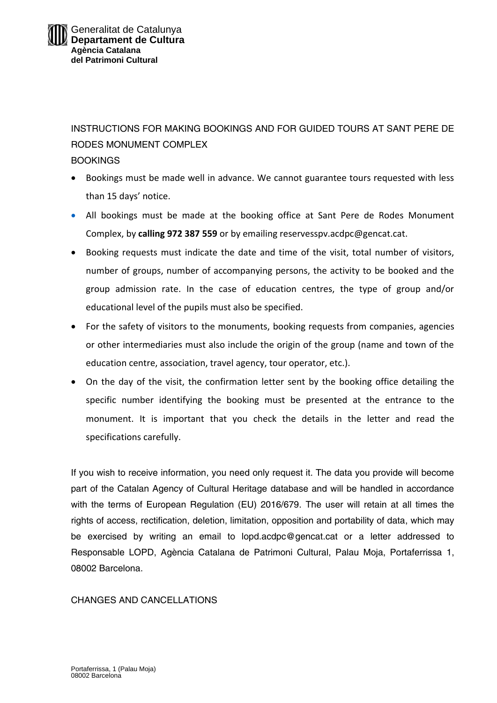INSTRUCTIONS FOR MAKING BOOKINGS AND FOR GUIDED TOURS AT SANT PERE DE RODES MONUMENT COMPLEX

#### **BOOKINGS**

- Bookings must be made well in advance. We cannot guarantee tours requested with less than 15 days' notice.
- All bookings must be made at the booking office at Sant Pere de Rodes Monument Complex, by **calling 972 387 559** or by emailing reservesspv.acdpc@gencat.cat.
- Booking requests must indicate the date and time of the visit, total number of visitors, number of groups, number of accompanying persons, the activity to be booked and the group admission rate. In the case of education centres, the type of group and/or educational level of the pupils must also be specified.
- For the safety of visitors to the monuments, booking requests from companies, agencies or other intermediaries must also include the origin of the group (name and town of the education centre, association, travel agency, tour operator, etc.).
- On the day of the visit, the confirmation letter sent by the booking office detailing the specific number identifying the booking must be presented at the entrance to the monument. It is important that you check the details in the letter and read the specifications carefully.

If you wish to receive information, you need only request it. The data you provide will become part of the Catalan Agency of Cultural Heritage database and will be handled in accordance with the terms of European Regulation (EU) 2016/679. The user will retain at all times the rights of access, rectification, deletion, limitation, opposition and portability of data, which may be exercised by writing an email to lopd.acdpc@gencat.cat or a letter addressed to Responsable LOPD, Agència Catalana de Patrimoni Cultural, Palau Moja, Portaferrissa 1, 08002 Barcelona.

### CHANGES AND CANCELLATIONS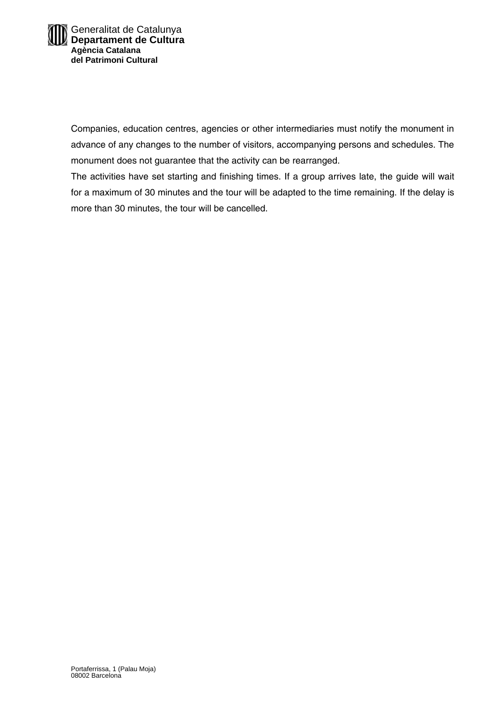Companies, education centres, agencies or other intermediaries must notify the monument in advance of any changes to the number of visitors, accompanying persons and schedules. The monument does not guarantee that the activity can be rearranged.

The activities have set starting and finishing times. If a group arrives late, the guide will wait for a maximum of 30 minutes and the tour will be adapted to the time remaining. If the delay is more than 30 minutes, the tour will be cancelled.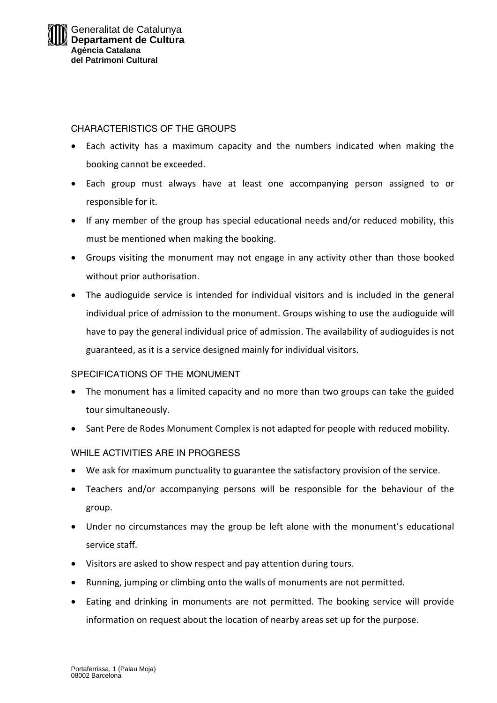## CHARACTERISTICS OF THE GROUPS

- Each activity has a maximum capacity and the numbers indicated when making the booking cannot be exceeded.
- Each group must always have at least one accompanying person assigned to or responsible for it.
- If any member of the group has special educational needs and/or reduced mobility, this must be mentioned when making the booking.
- Groups visiting the monument may not engage in any activity other than those booked without prior authorisation.
- The audioguide service is intended for individual visitors and is included in the general individual price of admission to the monument. Groups wishing to use the audioguide will have to pay the general individual price of admission. The availability of audioguides is not guaranteed, as it is a service designed mainly for individual visitors.

### SPECIFICATIONS OF THE MONUMENT

- The monument has a limited capacity and no more than two groups can take the guided tour simultaneously.
- Sant Pere de Rodes Monument Complex is not adapted for people with reduced mobility.

# WHILE ACTIVITIES ARE IN PROGRESS

- We ask for maximum punctuality to guarantee the satisfactory provision of the service.
- Teachers and/or accompanying persons will be responsible for the behaviour of the group.
- Under no circumstances may the group be left alone with the monument's educational service staff.
- Visitors are asked to show respect and pay attention during tours.
- Running, jumping or climbing onto the walls of monuments are not permitted.
- Eating and drinking in monuments are not permitted. The booking service will provide information on request about the location of nearby areas set up for the purpose.